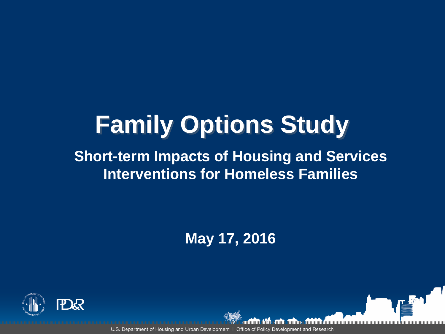# **Family Options Study**

#### **Short-term Impacts of Housing and Services Interventions for Homeless Families**

**May 17, 2016**

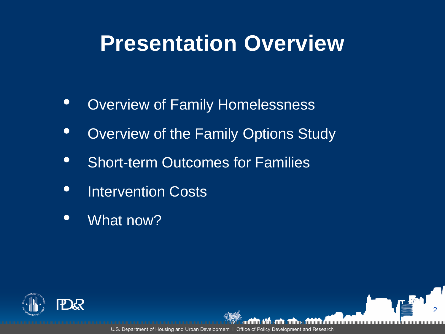### **Presentation Overview**

- Overview of Family Homelessness
- Overview of the Family Options Study
- Short-term Outcomes for Families
- Intervention Costs
- What now?

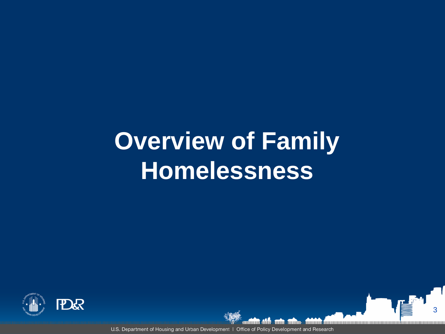# **Overview of Family Homelessness**



U.S. Department of Housing and Urban Development | Office of Policy Development and Research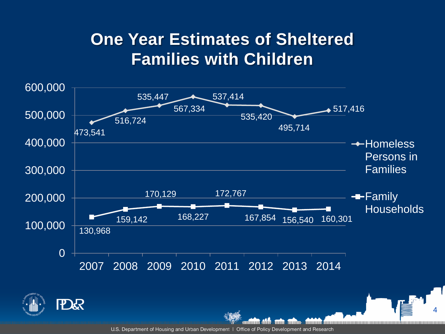#### **One Year Estimates of Sheltered Families with Children**

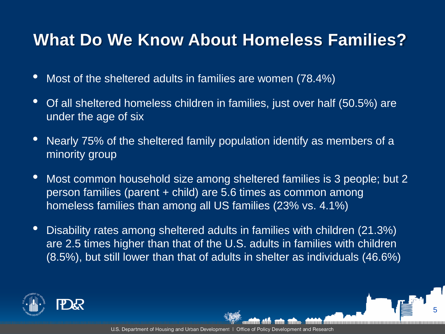#### **What Do We Know About Homeless Families?**

- Most of the sheltered adults in families are women (78.4%)
- Of all sheltered homeless children in families, just over half (50.5%) are under the age of six
- Nearly 75% of the sheltered family population identify as members of a minority group
- Most common household size among sheltered families is 3 people; but 2 person families (parent + child) are 5.6 times as common among homeless families than among all US families (23% vs. 4.1%)
- Disability rates among sheltered adults in families with children (21.3%) are 2.5 times higher than that of the U.S. adults in families with children (8.5%), but still lower than that of adults in shelter as individuals (46.6%)

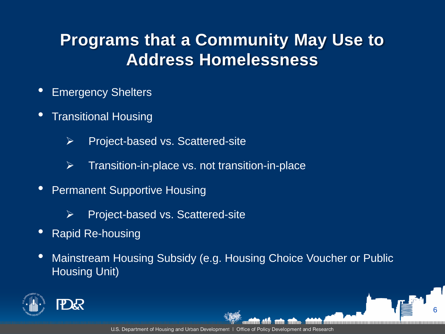#### **Programs that a Community May Use to Address Homelessness**

- Emergency Shelters
- Transitional Housing
	- $\triangleright$  Project-based vs. Scattered-site
	- $\triangleright$  Transition-in-place vs. not transition-in-place
- Permanent Supportive Housing
	- $\triangleright$  Project-based vs. Scattered-site
- Rapid Re-housing
- Mainstream Housing Subsidy (e.g. Housing Choice Voucher or Public Housing Unit)

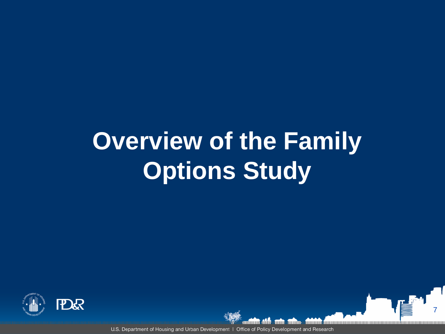# **Overview of the Family Options Study**



U.S. Department of Housing and Urban Development | Office of Policy Development and Research

7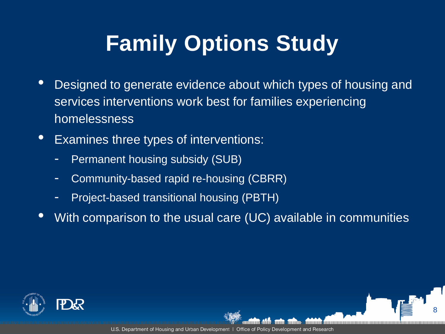## **Family Options Study**

- Designed to generate evidence about which types of housing and services interventions work best for families experiencing homelessness
- Examines three types of interventions:
	- Permanent housing subsidy (SUB)
	- Community-based rapid re-housing (CBRR)
	- Project-based transitional housing (PBTH)
- With comparison to the usual care (UC) available in communities

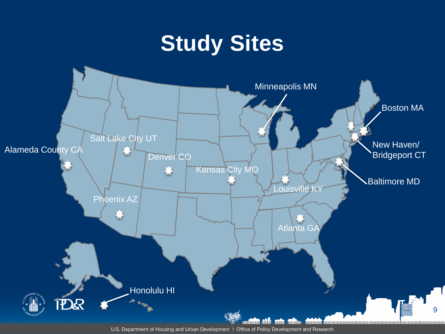## **Study Sites**

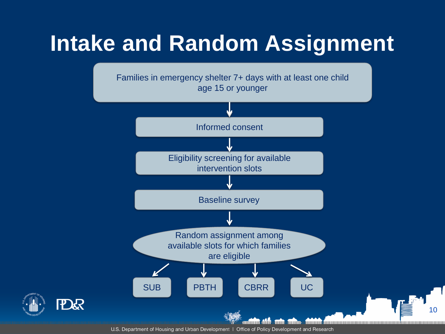## **Intake and Random Assignment**

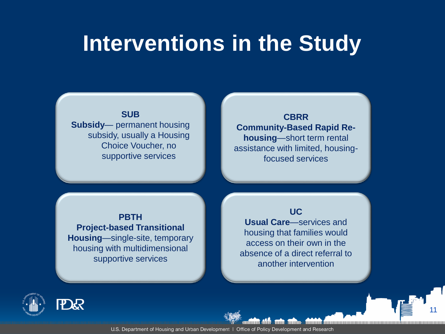### **Interventions in the Study**

#### **SUB**

**Subsidy**— permanent housing subsidy, usually a Housing Choice Voucher, no supportive services

**CBRR Community-Based Rapid Rehousing**—short term rental assistance with limited, housingfocused services

#### **PBTH Project-based Transitional Housing**—single-site, temporary housing with multidimensional supportive services

#### **UC**

**Usual Care**—services and housing that families would access on their own in the absence of a direct referral to another intervention

11

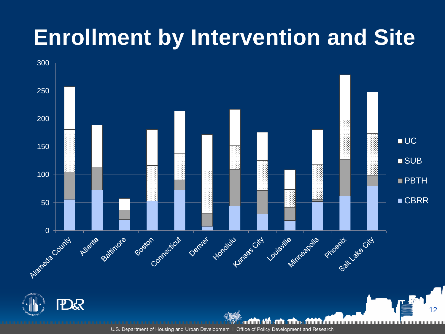## **Enrollment by Intervention and Site**

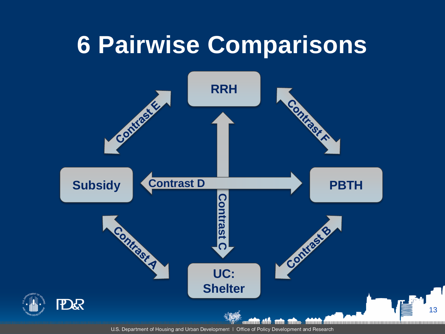## **6 Pairwise Comparisons**

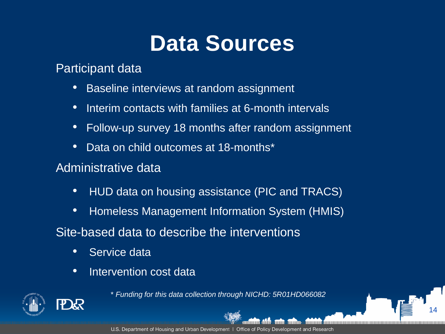## **Data Sources**

#### Participant data

- Baseline interviews at random assignment
- Interim contacts with families at 6-month intervals
- Follow-up survey 18 months after random assignment
- Data on child outcomes at 18-months\*

#### Administrative data

- HUD data on housing assistance (PIC and TRACS)
- Homeless Management Information System (HMIS)

#### Site-based data to describe the interventions

- Service data
- Intervention cost data



\* *Funding for this data collection through NICHD: 5R01HD066082*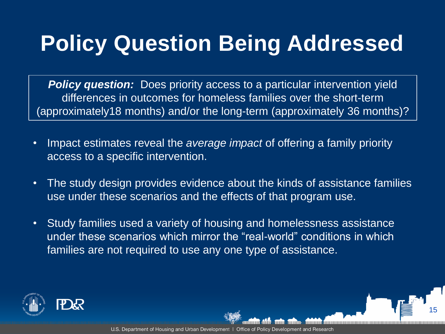## **Policy Question Being Addressed**

**Policy question:** Does priority access to a particular intervention yield differences in outcomes for homeless families over the short-term (approximately18 months) and/or the long-term (approximately 36 months)?

- Impact estimates reveal the *average impact* of offering a family priority access to a specific intervention.
- The study design provides evidence about the kinds of assistance families use under these scenarios and the effects of that program use.
- Study families used a variety of housing and homelessness assistance under these scenarios which mirror the "real-world" conditions in which families are not required to use any one type of assistance.

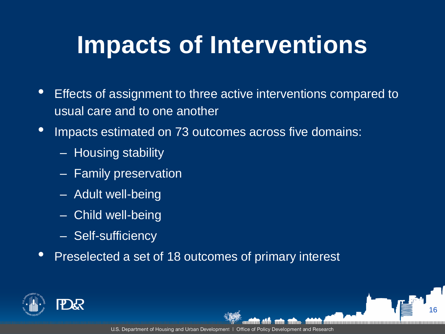## **Impacts of Interventions**

- Effects of assignment to three active interventions compared to usual care and to one another
- Impacts estimated on 73 outcomes across five domains:
	- Housing stability
	- Family preservation
	- Adult well-being
	- Child well-being
	- Self-sufficiency
- Preselected a set of 18 outcomes of primary interest

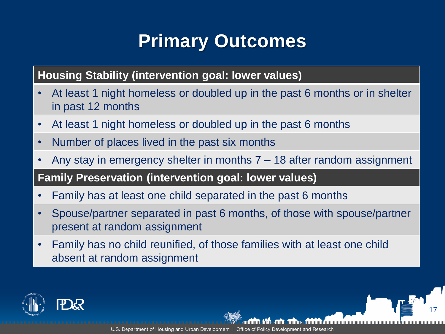### **Primary Outcomes**

**Housing Stability (intervention goal: lower values)**

- At least 1 night homeless or doubled up in the past 6 months or in shelter in past 12 months
- At least 1 night homeless or doubled up in the past 6 months
- Number of places lived in the past six months
- Any stay in emergency shelter in months 7 18 after random assignment

**Family Preservation (intervention goal: lower values)**

- Family has at least one child separated in the past 6 months
- Spouse/partner separated in past 6 months, of those with spouse/partner present at random assignment
- Family has no child reunified, of those families with at least one child absent at random assignment

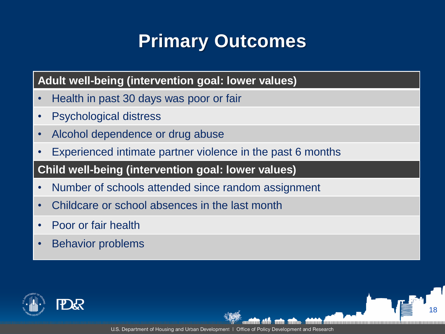### **Primary Outcomes**

#### **Adult well-being (intervention goal: lower values)**

- Health in past 30 days was poor or fair
- Psychological distress
- Alcohol dependence or drug abuse
- Experienced intimate partner violence in the past 6 months

#### **Child well-being (intervention goal: lower values)**

- Number of schools attended since random assignment
- Childcare or school absences in the last month
- Poor or fair health
- Behavior problems

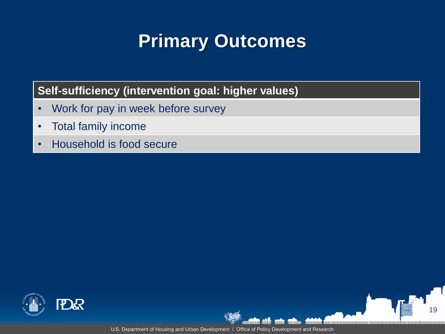### **Primary Outcomes**

#### **Self-sufficiency (intervention goal: higher values)**

- Work for pay in week before survey
- Total family income
- Household is food secure



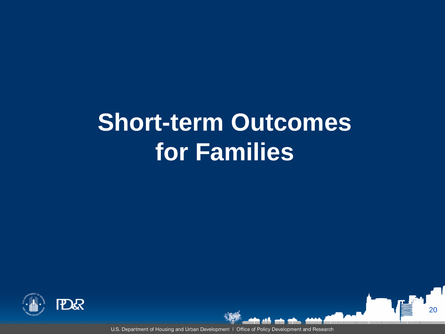## **Short-term Outcomes for Families**



U.S. Department of Housing and Urban Development | Office of Policy Development and Research

20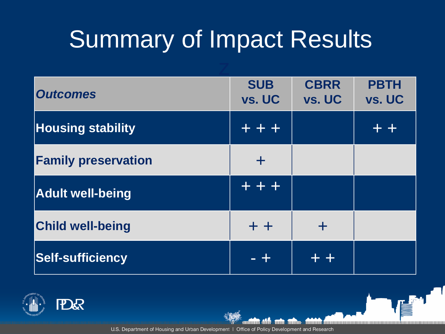# Summary of Impact Results

| <b>Outcomes</b>            | <b>SUB</b><br>vs. UC | <b>CBRR</b><br>vs. UC | <b>PBTH</b><br>vs. UC |
|----------------------------|----------------------|-----------------------|-----------------------|
| <b>Housing stability</b>   | $+ + +$              |                       | 43.47                 |
| <b>Family preservation</b> | ÷                    |                       |                       |
| <b>Adult well-being</b>    | $+ + +$              |                       |                       |
| <b>Child well-being</b>    | $+ +$                | ╋                     |                       |
| <b>Self-sufficiency</b>    |                      |                       |                       |



U.S. Department of Housing and Urban Development | Office of Policy Development and Research

dilininin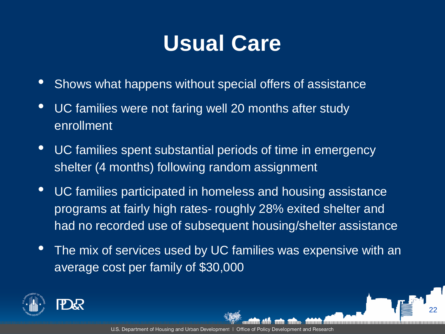## **Usual Care**

- Shows what happens without special offers of assistance
- UC families were not faring well 20 months after study enrollment
- UC families spent substantial periods of time in emergency shelter (4 months) following random assignment
- UC families participated in homeless and housing assistance programs at fairly high rates- roughly 28% exited shelter and had no recorded use of subsequent housing/shelter assistance
- The mix of services used by UC families was expensive with an average cost per family of \$30,000

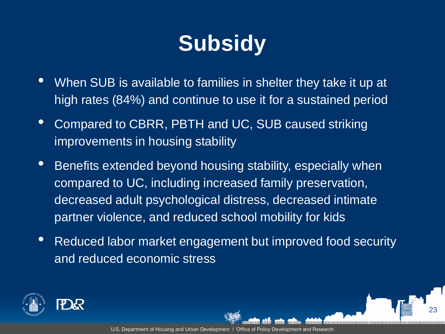## **Subsidy**

- When SUB is available to families in shelter they take it up at high rates (84%) and continue to use it for a sustained period
- Compared to CBRR, PBTH and UC, SUB caused striking improvements in housing stability
- Benefits extended beyond housing stability, especially when compared to UC, including increased family preservation, decreased adult psychological distress, decreased intimate partner violence, and reduced school mobility for kids
- Reduced labor market engagement but improved food security and reduced economic stress

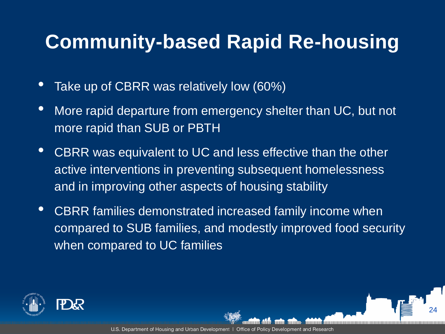### **Community-based Rapid Re-housing**

- Take up of CBRR was relatively low (60%)
- More rapid departure from emergency shelter than UC, but not more rapid than SUB or PBTH
- CBRR was equivalent to UC and less effective than the other active interventions in preventing subsequent homelessness and in improving other aspects of housing stability
- CBRR families demonstrated increased family income when compared to SUB families, and modestly improved food security when compared to UC families

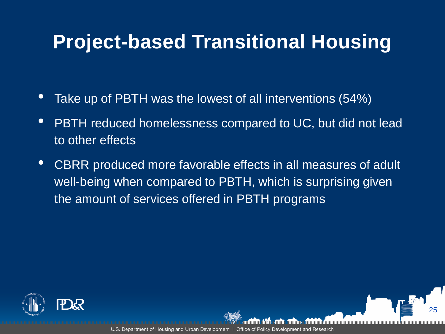### **Project-based Transitional Housing**

- Take up of PBTH was the lowest of all interventions (54%)
- PBTH reduced homelessness compared to UC, but did not lead to other effects
- CBRR produced more favorable effects in all measures of adult well-being when compared to PBTH, which is surprising given the amount of services offered in PBTH programs

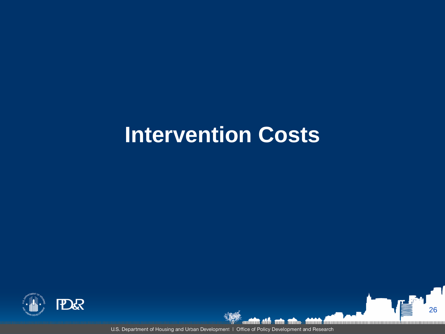## **Intervention Costs**





**ATTAINERED** 

26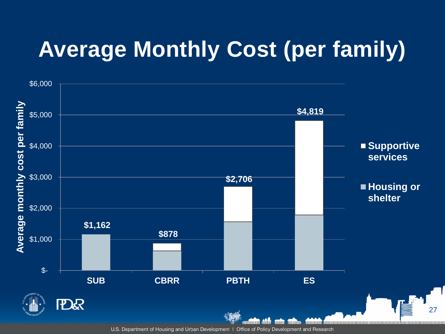## **Average Monthly Cost (per family)**

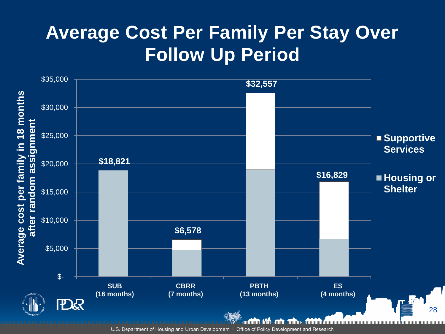### **Average Cost Per Family Per Stay Over Follow Up Period**

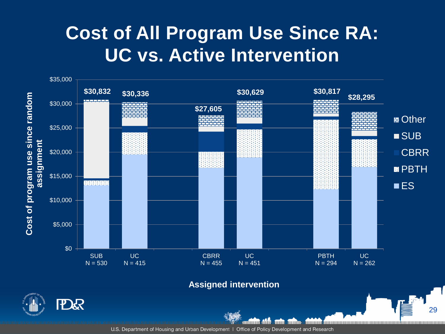#### **Cost of All Program Use Since RA: UC vs. Active Intervention**



#### **Assigned intervention**

29

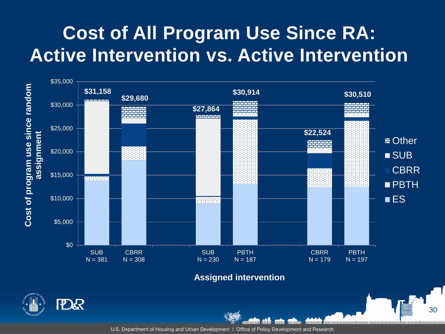### **Cost of All Program Use Since RA: Active Intervention vs. Active Intervention**



**Assigned intervention**

annuun

30

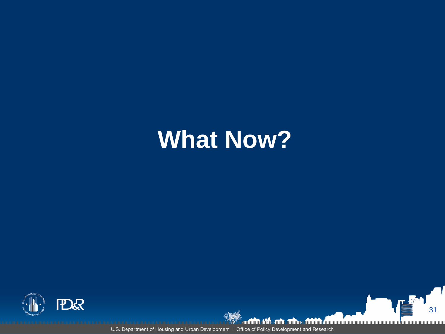## **What Now?**



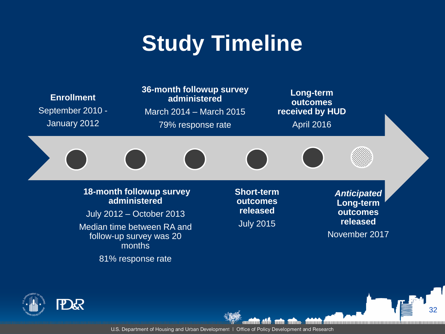## **Study Timeline**





U.S. Department of Housing and Urban Development | Office of Policy Development and Research

աա

annuun